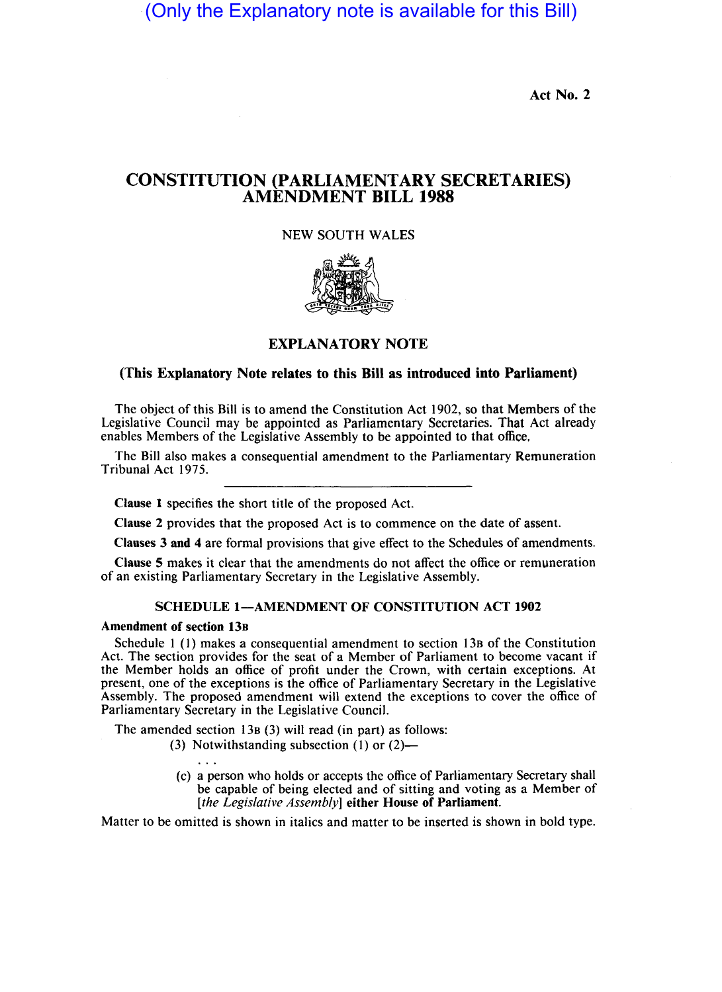(Only the Explanatory note is available for this Bill)

Act No. 2

# CONSTITUTION (PARLIAMENTARY SECRETARIES) AMENDMENT BILL 1988

# NEW SOUTH WALES



## EXPLANATORY NOTE

### (This Explanatory Note relates to this Bill as introduced into Parliament)

The object of this Bill is to amend the Constitution Act 1902, so that Members of the Legislative Council may be appointed as Parliamentary Secretaries. That Act already enables Members of the Legislative Assembly to be appointed to that office.

The Bill also makes a consequential amendment to the Parliamentary Remuneration Tribunal Act 1975.

Clause 1 specifies the short title of the proposed Act.

Clause 2 provides that the proposed Act is to commence on the date of assent.

Clauses 3 and 4 are formal provisions that give effect to the Schedules of amendments.

Clause 5 makes it clear that the amendments do not affect the office or remuneration of an existing Parliamentary Secretary in the Legislative Assembly.

### SCHEDULE 1-AMENDMENT OF CONSTITUTION ACT 1902

#### Amendment of section 13B

Schedule 1 (I) makes a consequential amendment to section 13B of the Constitution Act. The section provides for the seat of a Member of Parliament to become vacant if the Member holds an office of profit under the Crown, with certain exceptions. At present, one of the exceptions is the office of Parliamentary Secretary in the Legislative Assembly. The proposed amendment will extend the exceptions to cover the office of Parliamentary Secretary in the Legislative Council.

The amended section 13B (3) will read (in part) as follows:

- (3) Notwithstanding subsection  $(1)$  or  $(2)$ 
	- (c) a person who holds or accepts the office of Parliamentary Secretary shall be capable of being elected and of sitting and voting as a Member of [the Legislative Assembly] either House of Parliament.

Matter to be omitted is shown in italics and matter to be inserted is shown in bold type.